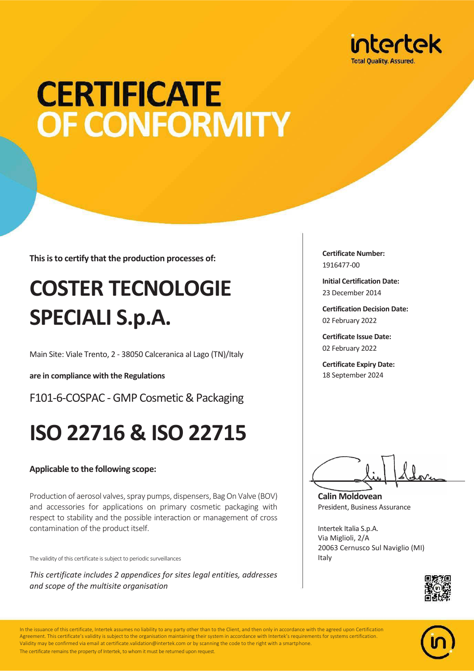

## **CERTIFICATE OF CONFORMITY**

**This is to certify that the production processes of:**

## **COSTER TECNOLOGIE SPECIALI S.p.A.**

Main Site: Viale Trento, 2 - 38050 Calceranica al Lago (TN)/Italy

**are in compliance with the Regulations**

F101-6-COSPAC - GMP Cosmetic & Packaging

### **ISO 22716 & ISO 22715**

#### **Applicable to the following scope:**

Production of aerosol valves, spray pumps, dispensers, Bag On Valve (BOV) and accessories for applications on primary cosmetic packaging with respect to stability and the possible interaction or management of cross contamination of the product itself.

The validity of this certificate is subject to periodic surveillances

*This certificate includes 2 appendices for sites legal entities, addresses and scope of the multisite organisation*

**Certificate Number:** 1916477-00

**Initial Certification Date:** 23 December 2014

**Certification Decision Date:** 02 February 2022

**Certificate Issue Date:** 02 February 2022

**Certificate Expiry Date:** 18 September 2024

**Calin Moldovean** President, Business Assurance

Intertek Italia S.p.A. Via Miglioli, 2/A 20063 Cernusco Sul Naviglio (MI) Italy





In the issuance of this certificate, Intertek assumes no liability to any party other than to the Client, and then only in accordance with the agreed upon Certification Agreement. This certificate's validity is subject to the organisation maintaining their system in accordance with Intertek's requirements for systems certification. Validity may be confirmed via email at certificate.validation@intertek.com or by scanning the code to the right with a smartphone. The certificate remains the property of Intertek, to whom it must be returned upon request.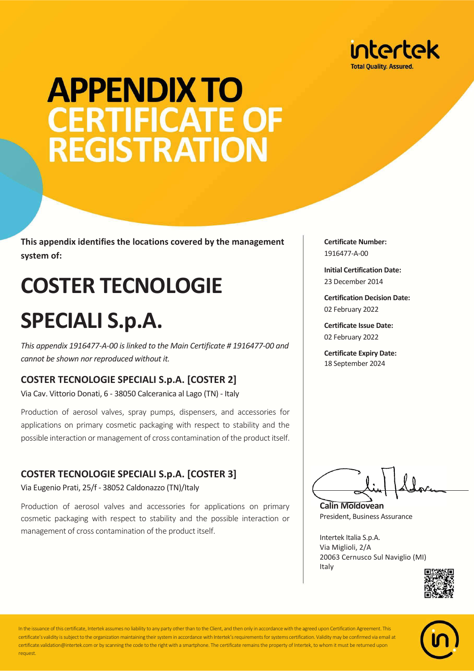

## **APPENDIX TO CERTIFICATE OF REGISTRATION**

**This appendix identifies the locations covered by the management system of:**

## **COSTER TECNOLOGIE SPECIALI S.p.A.**

*This appendix 1916477-A-00 is linked to the Main Certificate # 1916477-00 and cannot be shown nor reproduced without it.*

#### **COSTER TECNOLOGIE SPECIALI S.p.A. [COSTER 2]**

Via Cav. Vittorio Donati, 6 - 38050 Calceranica al Lago (TN) - Italy

Production of aerosol valves, spray pumps, dispensers, and accessories for applications on primary cosmetic packaging with respect to stability and the possible interaction or management of cross contamination of the product itself.

#### **COSTER TECNOLOGIE SPECIALI S.p.A. [COSTER 3]**

Via Eugenio Prati, 25/f - 38052 Caldonazzo (TN)/Italy

Production of aerosol valves and accessories for applications on primary cosmetic packaging with respect to stability and the possible interaction or management of cross contamination of the product itself.

**Certificate Number:** 1916477-A-00

**Initial Certification Date:** 23 December 2014

**Certification Decision Date:** 02 February 2022

**Certificate Issue Date:** 02 February 2022

**Certificate Expiry Date:** 18 September 2024

**Calin Moldovean**

President, Business Assurance

Intertek Italia S.p.A. Via Miglioli, 2/A 20063 Cernusco Sul Naviglio (MI) Italy





In the issuance of this certificate, Intertek assumes no liability to any party other than to the Client, and then only in accordance with the agreed upon Certification Agreement. This certificate's validity is subject to the organization maintaining their system in accordance with Intertek's requirements for systems certification. Validity may be confirmed via email at certificate.validation@intertek.com or by scanning the code to the right with a smartphone. The certificate remains the property of Intertek, to whom it must be returned upon request.